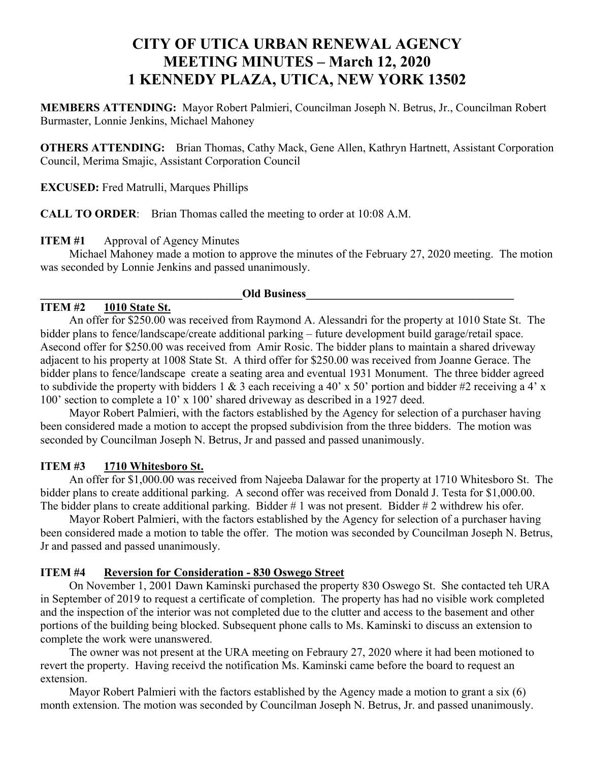# **CITY OF UTICA URBAN RENEWAL AGENCY MEETING MINUTES – March 12, 2020 1 KENNEDY PLAZA, UTICA, NEW YORK 13502**

**MEMBERS ATTENDING:** Mayor Robert Palmieri, Councilman Joseph N. Betrus, Jr., Councilman Robert Burmaster, Lonnie Jenkins, Michael Mahoney

**OTHERS ATTENDING:** Brian Thomas, Cathy Mack, Gene Allen, Kathryn Hartnett, Assistant Corporation Council, Merima Smajic, Assistant Corporation Council

**EXCUSED:** Fred Matrulli, Marques Phillips

**CALL TO ORDER**: Brian Thomas called the meeting to order at 10:08 A.M.

## **ITEM #1** Approval of Agency Minutes

Michael Mahoney made a motion to approve the minutes of the February 27, 2020 meeting. The motion was seconded by Lonnie Jenkins and passed unanimously.

#### **Old Business**

## **ITEM #2 1010 State St.**

An offer for \$250.00 was received from Raymond A. Alessandri for the property at 1010 State St. The bidder plans to fence/landscape/create additional parking – future development build garage/retail space. Asecond offer for \$250.00 was received from Amir Rosic. The bidder plans to maintain a shared driveway adjacent to his property at 1008 State St. A third offer for \$250.00 was received from Joanne Gerace. The bidder plans to fence/landscape create a seating area and eventual 1931 Monument. The three bidder agreed to subdivide the property with bidders 1 & 3 each receiving a 40' x 50' portion and bidder #2 receiving a 4' x 100' section to complete a 10' x 100' shared driveway as described in a 1927 deed.

Mayor Robert Palmieri, with the factors established by the Agency for selection of a purchaser having been considered made a motion to accept the propsed subdivision from the three bidders. The motion was seconded by Councilman Joseph N. Betrus, Jr and passed and passed unanimously.

## **ITEM #3 1710 Whitesboro St.**

An offer for \$1,000.00 was received from Najeeba Dalawar for the property at 1710 Whitesboro St. The bidder plans to create additional parking. A second offer was received from Donald J. Testa for \$1,000.00. The bidder plans to create additional parking. Bidder # 1 was not present. Bidder # 2 withdrew his ofer.

Mayor Robert Palmieri, with the factors established by the Agency for selection of a purchaser having been considered made a motion to table the offer. The motion was seconded by Councilman Joseph N. Betrus, Jr and passed and passed unanimously.

## **ITEM #4 Reversion for Consideration - 830 Oswego Street**

On November 1, 2001 Dawn Kaminski purchased the property 830 Oswego St. She contacted teh URA in September of 2019 to request a certificate of completion. The property has had no visible work completed and the inspection of the interior was not completed due to the clutter and access to the basement and other portions of the building being blocked. Subsequent phone calls to Ms. Kaminski to discuss an extension to complete the work were unanswered.

The owner was not present at the URA meeting on Febraury 27, 2020 where it had been motioned to revert the property. Having receivd the notification Ms. Kaminski came before the board to request an extension.

Mayor Robert Palmieri with the factors established by the Agency made a motion to grant a six (6) month extension. The motion was seconded by Councilman Joseph N. Betrus, Jr. and passed unanimously.